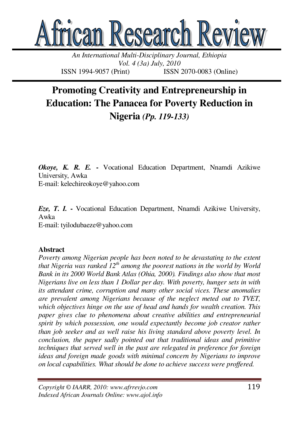

*An International Multi-Disciplinary Journal, Ethiopia Vol. 4 (3a) July, 2010*  ISSN 1994-9057 (Print) ISSN 2070-0083 (Online)

# **Promoting Creativity and Entrepreneurship in Education: The Panacea for Poverty Reduction in Nigeria** *(Pp. 119-133)*

*Okoye, K. R. E.* **-** Vocational Education Department, Nnamdi Azikiwe University, Awka E-mail: kelechireokoye@yahoo.com

*Eze, T. I.* **-** Vocational Education Department, Nnamdi Azikiwe University, Awka E-mail: tyilodubaeze@yahoo.com

#### **Abstract**

*Poverty among Nigerian people has been noted to be devastating to the extent that Nigeria was ranked 12th among the poorest nations in the world by World Bank in its 2000 World Bank Atlas (Ohia, 2000). Findings also show that most Nigerians live on less than 1 Dollar per day. With poverty, hunger sets in with its attendant crime, corruption and many other social vices. These anomalies are prevalent among Nigerians because of the neglect meted out to TVET, which objectives hinge on the use of head and hands for wealth creation. This paper gives clue to phenomena about creative abilities and entrepreneurial spirit by which possession, one would expectantly become job creator rather than job seeker and as well raise his living standard above poverty level. In conclusion, the paper sadly pointed out that traditional ideas and primitive techniques that served well in the past are relegated in preference for foreign ideas and foreign made goods with minimal concern by Nigerians to improve on local capabilities. What should be done to achieve success were proffered.*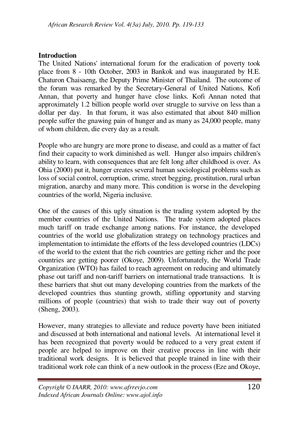### **Introduction**

The United Nations' international forum for the eradication of poverty took place from 8 - 10th October, 2003 in Bankok and was inaugurated by H.E. Chaturon Chaisaeng, the Deputy Prime Minister of Thailand. The outcome of the forum was remarked by the Secretary-General of United Nations, Kofi Annan, that poverty and hunger have close links. Kofi Annan noted that approximately 1.2 billion people world over struggle to survive on less than a dollar per day. In that forum, it was also estimated that about 840 million people suffer the gnawing pain of hunger and as many as 24,000 people, many of whom children, die every day as a result.

People who are hungry are more prone to disease, and could as a matter of fact find their capacity to work diminished as well. Hunger also impairs children's ability to learn, with consequences that are felt long after childhood is over. As Ohia (2000) put it, hunger creates several human sociological problems such as loss of social control, corruption, crime, street begging, prostitution, rural urban migration, anarchy and many more. This condition is worse in the developing countries of the world, Nigeria inclusive.

One of the causes of this ugly situation is the trading system adopted by the member countries of the United Nations. The trade system adopted places much tariff on trade exchange among nations. For instance, the developed countries of the world use globalization strategy on technology practices and implementation to intimidate the efforts of the less developed countries (LDCs) of the world to the extent that the rich countries are getting richer and the poor countries are getting poorer (Okoye, 2009). Unfortunately, the World Trade Organization (WTO) has failed to reach agreement on reducing and ultimately phase out tariff and non-tariff barriers on international trade transactions. It is these barriers that shut out many developing countries from the markets of the developed countries thus stunting growth, stifling opportunity and starving millions of people (countries) that wish to trade their way out of poverty (Sheng, 2003).

However, many strategies to alleviate and reduce poverty have been initiated and discussed at both international and national levels. At international level it has been recognized that poverty would be reduced to a very great extent if people are helped to improve on their creative process in line with their traditional work designs. It is believed that people trained in line with their traditional work role can think of a new outlook in the process (Eze and Okoye,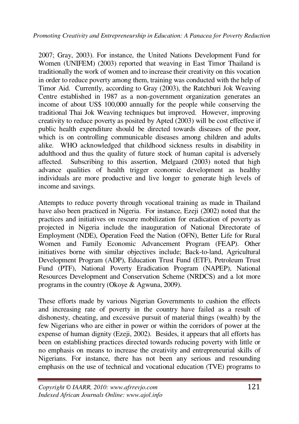2007; Gray, 2003). For instance, the United Nations Development Fund for Women (UNIFEM) (2003) reported that weaving in East Timor Thailand is traditionally the work of women and to increase their creativity on this vocation in order to reduce poverty among them, training was conducted with the help of Timor Aid. Currently, according to Gray (2003), the Ratchburi Jok Weaving Centre established in 1987 as a non-government organization generates an income of about US\$ 100,000 annually for the people while conserving the traditional Thai Jok Weaving techniques but improved. However, improving creativity to reduce poverty as posited by Apted (2003) will be cost effective if public health expenditure should be directed towards diseases of the poor, which is on controlling communicable diseases among children and adults alike. WHO acknowledged that childhood sickness results in disability in adulthood and thus the quality of future stock of human capital is adversely affected. Subscribing to this assertion, Melgaard (2003) noted that high advance qualities of health trigger economic development as healthy individuals are more productive and live longer to generate high levels of income and savings.

Attempts to reduce poverty through vocational training as made in Thailand have also been practiced in Nigeria. For instance, Ezeji (2002) noted that the practices and initiatives on rescure mobilization for eradication of poverty as projected in Nigeria include the inauguration of National Directorate of Employment (NDE), Operation Feed the Nation (OFN), Better Life for Rural Women and Family Economic Advancement Program (FEAP). Other initiatives borne with similar objectives include; Back-to-land, Agricultural Development Program (ADP), Education Trust Fund (ETF), Petroleum Trust Fund (PTF), National Poverty Eradication Program (NAPEP), National Resources Development and Conservation Scheme (NRDCS) and a lot more programs in the country (Okoye & Agwuna, 2009).

These efforts made by various Nigerian Governments to cushion the effects and increasing rate of poverty in the country have failed as a result of dishonesty, cheating, and excessive pursuit of material things (wealth) by the few Nigerians who are either in power or within the corridors of power at the expense of human dignity (Ezeji, 2002). Besides, it appears that all efforts has been on establishing practices directed towards reducing poverty with little or no emphasis on means to increase the creativity and entrepreneurial skills of Nigerians. For instance, there has not been any serious and resounding emphasis on the use of technical and vocational education (TVE) programs to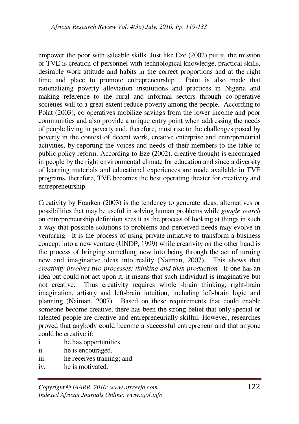empower the poor with saleable skills. Just like Eze (2002) put it, the mission of TVE is creation of personnel with technological knowledge, practical skills, desirable work attitude and habits in the correct proportions and at the right time and place to promote entrepreneurship. Point is also made that rationalizing poverty alleviation institutions and practices in Nigeria and making reference to the rural and informal sectors through co-operative societies will to a great extent reduce poverty among the people. According to Polat (2003), co-operatives mobilize savings from the lower income and poor communities and also provide a unique entry point when addressing the needs of people living in poverty and, therefore, must rise to the challenges posed by poverty in the context of decent work, creative enterprise and entrepreneurial activities, by reporting the voices and needs of their members to the table of public policy reform. According to Eze (2002), creative thought is encouraged in people by the right environmental climate for education and since a diversity of learning materials and educational experiences are made available in TVE programs, therefore, TVE becomes the best operating theater for creativity and entrepreneurship.

Creativity by Franken (2003) is the tendency to generate ideas, alternatives or possibilities that may be useful in solving human problems while *google search* on entrepreneurship definition sees it as the process of looking at things in such a way that possible solutions to problems and perceived needs may evolve in venturing. It is the process of using private initiative to transform a business concept into a new venture (UNDP, 1999) while creativity on the other hand is the process of bringing something new into being through the act of turning new and imaginative ideas into reality (Naiman, 2007). This shows that *creativity involves two processes; thinking and then production.* If one has an idea but could not act upon it, it means that such individual is imaginative but not creative. Thus creativity requires whole -brain thinking; right-brain imagination, artistry and left-brain intuition, including left-brain logic and planning (Naiman, 2007). Based on these requirements that could enable someone become creative, there has been the strong belief that only special or talented people are creative and entrepreneurially skilful. However, researches proved that anybody could become a successful entrepreneur and that anyone could be creative if;

- i. he has opportunities.
- ii. he is encouraged.
- iii. he receives training; and
- iv. he is motivated.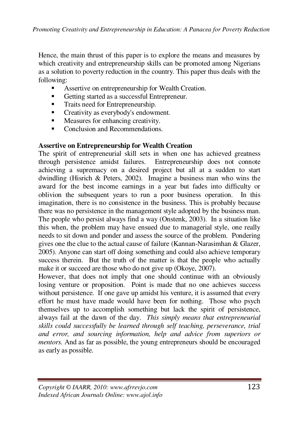Hence, the main thrust of this paper is to explore the means and measures by which creativity and entrepreneurship skills can be promoted among Nigerians as a solution to poverty reduction in the country. This paper thus deals with the following:

- Assertive on entrepreneurship for Wealth Creation.
- Getting started as a successful Entrepreneur.
- Traits need for Entrepreneurship.
- **Creativity as everybody's endowment.**
- **Measures for enhancing creativity.**
- Conclusion and Recommendations

#### **Assertive on Entrepreneurship for Wealth Creation**

The spirit of entrepreneurial skill sets in when one has achieved greatness through persistence amidst failures. Entrepreneurship does not connote achieving a supremacy on a desired project but all at a sudden to start dwindling (Hisrich & Peters, 2002). Imagine a business man who wins the award for the best income earnings in a year but fades into difficulty or oblivion the subsequent years to run a poor business operation. In this imagination, there is no consistence in the business. This is probably because there was no persistence in the management style adopted by the business man. The people who persist always find a way (Onstenk, 2003). In a situation like this when, the problem may have ensued due to managerial style, one really needs to sit down and ponder and assess the source of the problem. Pondering gives one the clue to the actual cause of failure (Kannan-Narasimhan & Glazer, 2005). Anyone can start off doing something and could also achieve temporary success therein. But the truth of the matter is that the people who actually make it or succeed are those who do not give up (Okoye, 2007).

However, that does not imply that one should continue with an obviously losing venture or proposition. Point is made that no one achieves success without persistence. If one gave up amidst his venture, it is assumed that every effort he must have made would have been for nothing. Those who psych themselves up to accomplish something but lack the spirit of persistence, always fail at the dawn of the day. *This simply means that entrepreneurial skills could successfully be learned through self teaching, perseverance, trial and error, and sourcing information, help and advice from superiors or mentors.* And as far as possible, the young entrepreneurs should be encouraged as early as possible.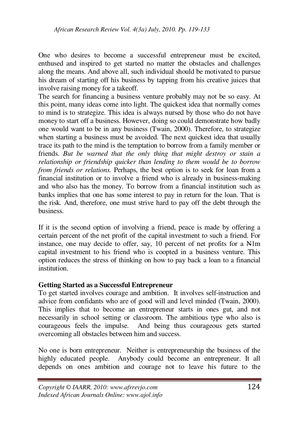One who desires to become a successful entrepreneur must be excited, enthused and inspired to get started no matter the obstacles and challenges along the means. And above all, such individual should be motivated to pursue his dream of starting off his business by tapping from his creative juices that involve raising money for a takeoff.

The search for financing a business venture probably may not be so easy. At this point, many ideas come into light. The quickest idea that normally comes to mind is to strategize. This idea is always nursed by those who do not have money to start off a business. However, doing so could demonstrate how badly one would want to be in any business (Twain, 2000). Therefore, to strategize when starting a business must be avoided. The next quickest idea that usually trace its path to the mind is the temptation to borrow from a family member or friends. *But be warned that the only thing that might destroy or stain a relationship or friendship quicker than lending to them would be to borrow from friends or relations.* Perhaps, the best option is to seek for loan from a financial institution or to involve a friend who is already in business-making and who also has the money. To borrow from a financial institution such as banks implies that one has some interest to pay in return for the loan. That is the risk. And, therefore, one must strive hard to pay off the debt through the business.

If it is the second option of involving a friend, peace is made by offering a certain percent of the net profit of the capital investment to such a friend. For instance, one may decide to offer, say, 10 percent of net profits for a N1m capital investment to his friend who is coopted in a business venture. This option reduces the stress of thinking on how to pay back a loan to a financial institution.

#### **Getting Started as a Successful Entrepreneur**

To get started involves courage and ambition. It involves self-instruction and advice from confidants who are of good will and level minded (Twain, 2000). This implies that to become an entrepreneur starts in ones gut, and not necessarily in school setting or classroom. The ambitious type who also is courageous feels the impulse. And being thus courageous gets started overcoming all obstacles between him and success.

No one is born entrepreneur. Neither is entrepreneurship the business of the highly educated people. Anybody could become an entrepreneur. It all depends on ones ambition and courage not to leave his future to the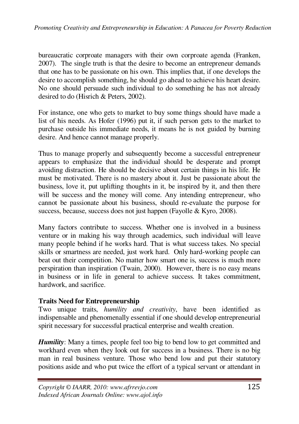bureaucratic corproate managers with their own corproate agenda (Franken, 2007). The single truth is that the desire to become an entrepreneur demands that one has to be passionate on his own. This implies that, if one develops the desire to accomplish something, he should go ahead to achieve his heart desire. No one should persuade such individual to do something he has not already desired to do (Hisrich & Peters, 2002).

For instance, one who gets to market to buy some things should have made a list of his needs. As Hofer (1996) put it, if such person gets to the market to purchase outside his immediate needs, it means he is not guided by burning desire. And hence cannot manage properly.

Thus to manage properly and subsequently become a successful entrepreneur appears to emphasize that the individual should be desperate and prompt avoiding distraction. He should be decisive about certain things in his life. He must be motivated. There is no mastery about it. Just be passionate about the business, love it, put uplifting thoughts in it, be inspired by it, and then there will be success and the money will come. Any intending entrepreneur, who cannot be passionate about his business, should re-evaluate the purpose for success, because, success does not just happen (Fayolle & Kyro, 2008).

Many factors contribute to success. Whether one is involved in a business venture or in making his way through academics, such individual will leave many people behind if he works hard. That is what success takes. No special skills or smartness are needed, just work hard. Only hard-working people can beat out their competition. No matter how smart one is, success is much more perspiration than inspiration (Twain, 2000). However, there is no easy means in business or in life in general to achieve success. It takes commitment, hardwork, and sacrifice.

#### **Traits Need for Entrepreneurship**

Two unique traits, *humility and creativity*, have been identified as indispensable and phenomenally essential if one should develop entrepreneurial spirit necessary for successful practical enterprise and wealth creation.

*Humility*: Many a times, people feel too big to bend low to get committed and workhard even when they look out for success in a business. There is no big man in real business venture. Those who bend low and put their statutory positions aside and who put twice the effort of a typical servant or attendant in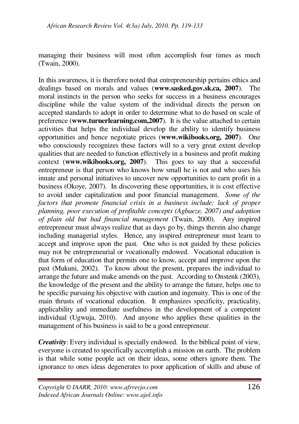managing their business will most often accomplish four times as much (Twain, 2000).

In this awareness, it is therefore noted that entrepreneurship pertains ethics and dealings based on morals and values (**www.sasked.gov.sk.ca, 2007**). The moral instincts in the person who seeks for success in a business encourages discipline while the value system of the individual directs the person on accepted standards to adopt in order to determine what to do based on scale of preference (**www.turnerlearning.com,2007**). It is the value attached to certain activities that helps the individual develop the ability to identify business opportunities and hence negotiate prices (**www.wikibooks.org, 2007**). One who consciously recognizes these factors will to a very great extent develop qualities that are needed to function effectively in a business and profit making context (**www.wikibooks.org, 2007**). This goes to say that a successful entrepreneur is that person who knows how small he is not and who uses his innate and personal initiatives to uncover new opportunities to earn profit in a business (Okoye, 2007). In discovering these opportunities, it is cost effective to avoid under capitalization and poor financial management. *Some of the factors that promote financial crisis in a business include; lack of proper planning, poor execution of profitable concepts (Agbaeze, 2007) and adoption of plain old but bad financial management* (Twain, 2000). Any inspired entrepreneur must always realize that as days go by, things therein also change including managerial styles. Hence, any inspired entrepreneur must learn to accept and improve upon the past. One who is not guided by these policies may not be entrepreneurial or vocationally endowed. Vocational education is that form of education that permits one to know, accept and improve upon the past (Mukuni, 2002). To know about the present, prepares the individual to arrange the future and make amends on the past. According to Onstenk (2003), the knowledge of the present and the ability to arrange the future, helps one to be specific pursuing his objective with caution and ingenuity. This is one of the main thrusts of vocational education. It emphasizes specificity, practicality, applicability and immediate usefulness in the development of a competent individual (Ugwuja, 2010). And anyone who applies these qualities in the management of his business is said to be a good entrepreneur.

*Creativity*: Every individual is specially endowed. In the biblical point of view, everyone is created to specifically accomplish a mission on earth. The problem is that while some people act on their ideas, some others ignore them. The ignorance to ones ideas degenerates to poor application of skills and abuse of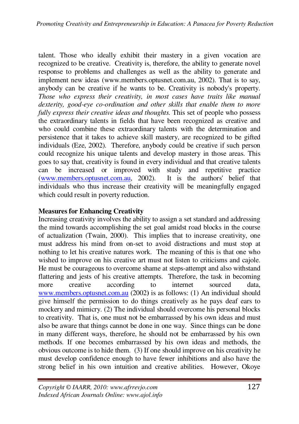talent. Those who ideally exhibit their mastery in a given vocation are recognized to be creative. Creativity is, therefore, the ability to generate novel response to problems and challenges as well as the ability to generate and implement new ideas (www.members.optusnet.com.au, 2002). That is to say, anybody can be creative if he wants to be. Creativity is nobody's property. *Those who express their creativity, in most cases have traits like manual dexterity, good-eye co-ordination and other skills that enable them to more fully express their creative ideas and thoughts.* This set of people who possess the extraordinary talents in fields that have been recognized as creative and who could combine these extraordinary talents with the determination and persistence that it takes to achieve skill mastery, are recognized to be gifted individuals (Eze, 2002). Therefore, anybody could be creative if such person could recognize his unique talents and develop mastery in those areas. This goes to say that, creativity is found in every individual and that creative talents can be increased or improved with study and repetitive practice (www.members.optusnet.com.au, 2002). It is the authors' belief that individuals who thus increase their creativity will be meaningfully engaged which could result in poverty reduction.

## **Measures for Enhancing Creativity**

Increasing creativity involves the ability to assign a set standard and addressing the mind towards accomplishing the set goal amidst road blocks in the course of actualization (Twain, 2000). This implies that to increase creativity, one must address his mind from on-set to avoid distractions and must stop at nothing to let his creative natures work. The meaning of this is that one who wished to improve on his creative art must not listen to criticisms and cajole. He must be courageous to overcome shame at steps-attempt and also withstand flattering and jests of his creative attempts. Therefore, the task in becoming more creative according to internet sourced data, www.members.optusnet.com.au (2002**)** is as follows: (1) An individual should give himself the permission to do things creatively as he pays deaf ears to mockery and mimicry. (2) The individual should overcome his personal blocks to creativity. That is, one must not be embarrassed by his own ideas and must also be aware that things cannot be done in one way. Since things can be done in many different ways, therefore, he should not be embarrassed by his own methods. If one becomes embarrassed by his own ideas and methods, the obvious outcome is to hide them. (3) If one should improve on his creativity he must develop confidence enough to have fewer inhibitions and also have the strong belief in his own intuition and creative abilities. However, Okoye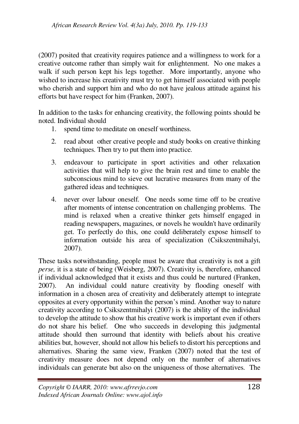(2007) posited that creativity requires patience and a willingness to work for a creative outcome rather than simply wait for enlightenment. No one makes a walk if such person kept his legs together. More importantly, anyone who wished to increase his creativity must try to get himself associated with people who cherish and support him and who do not have jealous attitude against his efforts but have respect for him (Franken, 2007).

In addition to the tasks for enhancing creativity, the following points should be noted. Individual should

- 1. spend time to meditate on oneself worthiness.
- 2. read about other creative people and study books on creative thinking techniques. Then try to put them into practice.
- 3. endeavour to participate in sport activities and other relaxation activities that will help to give the brain rest and time to enable the subconscious mind to sieve out lucrative measures from many of the gathered ideas and techniques.
- 4. never over labour oneself. One needs some time off to be creative after moments of intense concentration on challenging problems. The mind is relaxed when a creative thinker gets himself engaged in reading newspapers, magazines, or novels he wouldn't have ordinarily get. To perfectly do this, one could deliberately expose himself to information outside his area of specialization (Csikszentmihalyi, 2007).

These tasks notwithstanding, people must be aware that creativity is not a gift *perse,* it is a state of being (Weisberg, 2007). Creativity is, therefore, enhanced if individual acknowledged that it exists and thus could be nurtured (Franken, 2007). An individual could nature creativity by flooding oneself with information in a chosen area of creativity and deliberately attempt to integrate opposites at every opportunity within the person's mind. Another way to nature creativity according to Csikszentmihalyi (2007) is the ability of the individual to develop the attitude to show that his creative work is important even if others do not share his belief. One who succeeds in developing this judgmental attitude should then surround that identity with beliefs about his creative abilities but, however, should not allow his beliefs to distort his perceptions and alternatives. Sharing the same view, Franken (2007) noted that the test of creativity measure does not depend only on the number of alternatives individuals can generate but also on the uniqueness of those alternatives. The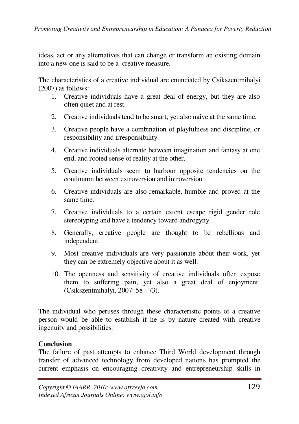ideas, act or any alternatives that can change or transform an existing domain into a new one is said to be a creative measure.

The characteristics of a creative individual are enunciated by Csikszentmihalyi (2007) as follows:

- 1. Creative individuals have a great deal of energy, but they are also often quiet and at rest.
- 2. Creative individuals tend to be smart, yet also naive at the same time.
- 3. Creative people have a combination of playfulness and discipline, or responsibility and irresponsibility.
- 4. Creative individuals alternate between imagination and fantasy at one end, and rooted sense of reality at the other.
- 5. Creative individuals seem to harbour opposite tendencies on the continuum between extroversion and introversion.
- 6. Creative individuals are also remarkable, humble and proved at the same time.
- 7. Creative individuals to a certain extent escape rigid gender role stereotyping and have a tendency toward androgyny.
- 8. Generally, creative people are thought to be rebellious and independent.
- 9. Most creative individuals are very passionate about their work, yet they can be extremely objective about it as well.
- 10. The openness and sensitivity of creative individuals often expose them to suffering pain, yet also a great deal of enjoyment. (Csikszentmihalyi, 2007: 58 - 73).

The individual who peruses through these characteristic points of a creative person would be able to establish if he is by nature created with creative ingenuity and possibilities.

#### **Conclusion**

The failure of past attempts to enhance Third World development through transfer of advanced technology from developed nations has prompted the current emphasis on encouraging creativity and entrepreneurship skills in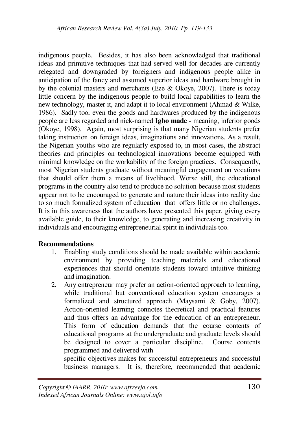indigenous people. Besides, it has also been acknowledged that traditional ideas and primitive techniques that had served well for decades are currently relegated and downgraded by foreigners and indigenous people alike in anticipation of the fancy and assumed superior ideas and hardware brought in by the colonial masters and merchants (Eze & Okoye, 2007). There is today little concern by the indigenous people to build local capabilities to learn the new technology, master it, and adapt it to local environment (Ahmad & Wilke, 1986). Sadly too, even the goods and hardwares produced by the indigenous people are less regarded and nick-named **Igbo made** - meaning, inferior goods (Okoye, 1998). Again, most surprising is that many Nigerian students prefer taking instruction on foreign ideas, imaginations and innovations. As a result, the Nigerian youths who are regularly exposed to, in most cases, the abstract theories and principles on technological innovations become equipped with minimal knowledge on the workability of the foreign practices. Consequently, most Nigerian students graduate without meaningful engagement on vocations that should offer them a means of livelihood. Worse still, the educational programs in the country also tend to produce no solution because most students appear not to be encouraged to generate and nature their ideas into reality due to so much formalized system of education that offers little or no challenges. It is in this awareness that the authors have presented this paper, giving every available guide, to their knowledge, to generating and increasing creativity in individuals and encouraging entrepreneurial spirit in individuals too.

#### **Recommendations**

- 1. Enabling study conditions should be made available within academic environment by providing teaching materials and educational experiences that should orientate students toward intuitive thinking and imagination.
- 2. Any entrepreneur may prefer an action-oriented approach to learning, while traditional but conventional education system encourages a formalized and structured approach (Maysami & Goby, 2007). Action-oriented learning connotes theoretical and practical features and thus offers an advantage for the education of an entrepreneur. This form of education demands that the course contents of educational programs at the undergraduate and graduate levels should be designed to cover a particular discipline. Course contents programmed and delivered with

 specific objectives makes for successful entrepreneurs and successful business managers. It is, therefore, recommended that academic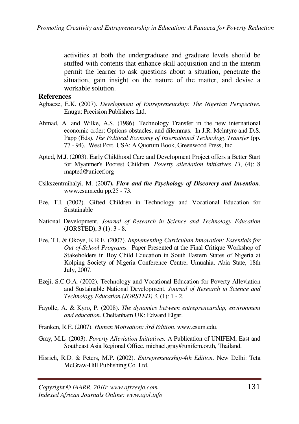activities at both the undergraduate and graduate levels should be stuffed with contents that enhance skill acquisition and in the interim permit the learner to ask questions about a situation, penetrate the situation, gain insight on the nature of the matter, and devise a workable solution.

#### **References**

- Agbaeze, E.K. (2007). *Development of Entrepreneurship: The Nigerian Perspective*. Enugu: Precision Publishers Ltd.
- Ahmad, A. and Wilke, A.S. (1986). Technology Transfer in the new international economic order: Options obstacles, and dilemmas. In J.R. Mclntyre and D.S. Papp (Eds). *The Political Economy of International Technology Transfer* (pp. 77 - 94). West Port, USA: A Quorum Book, Greenwood Press, Inc.
- Apted, M.J. (2003). Early Childhood Care and Development Project offers a Better Start for Myanmer's Poorest Children. *Poverty alleviation Initiatives 13*, (4): 8 mapted@unicef.org
- Csikszentmihalyi, M. (2007**).** *Flow and the Psychology of Discovery and Invention.* www.csum.edu pp.25 - 73.
- Eze, T.I. (2002). Gifted Children in Technology and Vocational Education for Sustainable
- National Development. *Journal of Research in Science and Technology Education*  (JORSTED), 3 (1): 3 - 8.
- Eze, T.I. & Okoye, K.R.E. (2007). *Implementing Curriculum Innovation: Essentials for Out of-School Programs*. Paper Presented at the Final Critique Workshop of Stakeholders in Boy Child Education in South Eastern States of Nigeria at Kolping Society of Nigeria Conference Centre, Umuahia, Abia State, 18th July, 2007.
- Ezeji, S.C.O.A. (2002). Technology and Vocational Education for Poverty Alleviation and Sustainable National Development. *Journal of Research in Science and Technology Education (JORSTED) 3*, (1): 1 - 2.
- Fayolle, A. & Kyro, P. (2008). *The dynamics between entrepreneurship, environment and education*. Cheltanham UK: Edward Elgar.
- Franken, R.E. (2007). *Human Motivation: 3rd Edition*. www.csum.edu.
- Gray, M.L. (2003). *Poverty Alleviation Initiatives.* A Publication of UNIFEM, East and Southeast Asia Regional Office. michael.gray@unifem.or.th, Thailand.
- Hisrich, R.D. & Peters, M.P. (2002). *Entrepreneurship-4th Edition*. New Delhi: Teta McGraw-Hill Publishing Co. Ltd.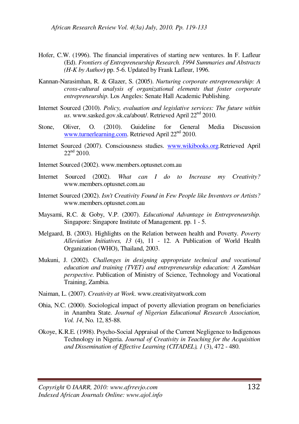- Hofer, C.W. (1996). The financial imperatives of starting new ventures. In F. Lafleur (Ed). *Frontiers of Entrepreneurship Research. 1994 Summaries and Abstracts (H-K by Author)* pp. 5-6. Updated by Frank Lafleur, 1996.
- Kannan-Narasimhan, R. & Glazer, S. (2005). *Nurturing corporate entrepreneurship: A cross-cultural analysis of organizational elements that foster corporate entrepreneurship*. Los Angeles: Senate Hall Academic Publishing.
- Internet Sourced (2010). *Policy, evaluation and legislative services: The future within us*. www.sasked.gov.sk.ca/about/. Retrieved April 22nd 2010.
- Stone, Oliver, O. (2010). Guideline for General Media Discussion www.turnerlearning.com. Retrieved April 22<sup>nd</sup> 2010.
- Internet Sourced (2007). Consciousness studies. www.wikibooks.org.Retrieved April  $22<sup>nd</sup> 2010.$
- Internet Sourced (2002). www.members.optusnet.com.au
- Internet Sourced (2002). *What can I do to Increase my Creativity?* www.members.optusnet.com.au
- Internet Sourced (2002). *Isn't Creativity Found in Few People like Inventors or Artists?*  www.members.optusnet.com.au
- Maysami, R.C. & Goby, V.P. (2007). *Educational Advantage in Entrepreneurship.* Singapore: Singapore Institute of Management. pp. 1 - 5.
- Melgaard, B. (2003). Highlights on the Relation between health and Poverty. *Poverty Alleviation Initiatives, 13* (4), 11 - 12. A Publication of World Health Organization (WHO), Thailand, 2003.
- Mukuni, J. (2002). *Challenges in designing appropriate technical and vocational education and training (TVET) and entrepreneurship education: A Zambian perspective*. Publication of Ministry of Science, Technology and Vocational Training, Zambia.
- Naiman, L. (2007). *Creativity at Work*. www.creativityatwork.com
- Ohia, N.C. (2000). Sociological impact of poverty alleviation program on beneficiaries in Anambra State. *Journal of Nigerian Educational Research Association, Vol. 14*, No. 12, 85-88.
- Okoye, K.R.E. (1998). Psycho-Social Appraisal of the Current Negligence to Indigenous Technology in Nigeria. *Journal of Creativity in Teaching for the Acquisition and Dissemination of Effective Learning (CITADEL), 1* (3), 472 - 480.